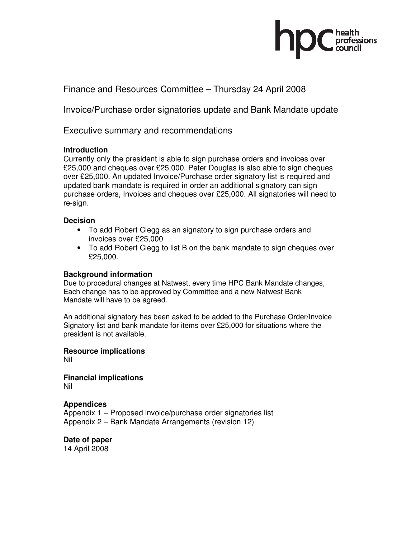# Finance and Resources Committee – Thursday 24 April 2008

Invoice/Purchase order signatories update and Bank Mandate update

Executive summary and recommendations

## **Introduction**

Currently only the president is able to sign purchase orders and invoices over £25,000 and cheques over £25,000. Peter Douglas is also able to sign cheques over £25,000. An updated Invoice/Purchase order signatory list is required and updated bank mandate is required in order an additional signatory can sign purchase orders, Invoices and cheques over £25,000. All signatories will need to re-sign.

## **Decision**

- To add Robert Clegg as an signatory to sign purchase orders and invoices over £25,000
- To add Robert Clegg to list B on the bank mandate to sign cheques over £25,000.

# **Background information**

Due to procedural changes at Natwest, every time HPC Bank Mandate changes, Each change has to be approved by Committee and a new Natwest Bank Mandate will have to be agreed.

An additional signatory has been asked to be added to the Purchase Order/Invoice Signatory list and bank mandate for items over £25,000 for situations where the president is not available.

**Resource implications**  Nil

**Financial implications**  Nil

# **Appendices**

Appendix 1 – Proposed invoice/purchase order signatories list Appendix 2 – Bank Mandate Arrangements (revision 12)

**Date of paper**  14 April 2008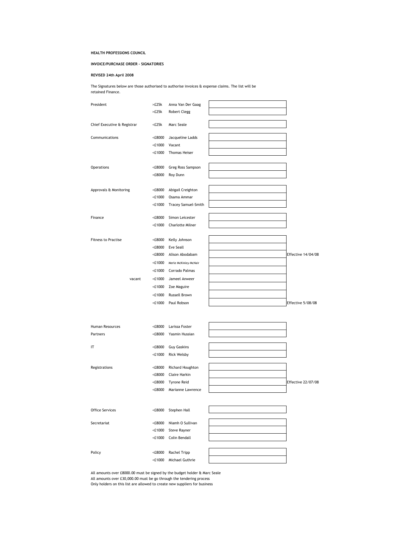#### HEALTH PROFESSIONS COUNCIL

#### INVOICE/PURCHASE ORDER - SIGNATORIES

#### REVISED 24th April 2008

The Signatures below are those authorised to authorise invoices & expense claims. The list will be retained Finance.

| President                   | >E25k                                                  | Anna Van Der Gaag       |                           |
|-----------------------------|--------------------------------------------------------|-------------------------|---------------------------|
|                             | >E25k                                                  | <b>Robert Clegg</b>     |                           |
|                             |                                                        |                         |                           |
| Chief Executive & Registrar | <£25k                                                  | Marc Seale              |                           |
| Communications              | $< \pounds8000$                                        |                         |                           |
|                             |                                                        | Jacqueline Ladds        |                           |
|                             | $<$ £1000                                              | Vacant                  |                           |
|                             | $<$ £1000                                              | Thomas Heiser           |                           |
|                             |                                                        |                         |                           |
| Operations                  | <£8000                                                 | Greg Ross Sampson       |                           |
|                             | <£8000                                                 | Roy Dunn                |                           |
| Approvals & Monitoring      | <£8000                                                 | Abigail Creighton       |                           |
|                             | $<$ £1000                                              | Osama Ammar             |                           |
|                             | $<$ £1000                                              | Tracey Samuel-Smith     |                           |
|                             |                                                        |                         |                           |
| Finance                     | <£8000                                                 | Simon Leicester         |                           |
|                             | <£1000                                                 | <b>Charlotte Milner</b> |                           |
|                             |                                                        |                         |                           |
| <b>Fitness to Practise</b>  | <£8000                                                 | Kelly Johnson           |                           |
|                             | $< \pounds8000$                                        | Eve Seall               |                           |
|                             | <£8000                                                 | Alison Abodabam         | Effective 14/04/08        |
|                             | $<$ £1000                                              | Merle McKinley-McNair   |                           |
|                             | $<$ £1000                                              | Corrado Palmas          |                           |
| vacant                      | $<$ £1000                                              | Jameel Anweer           |                           |
|                             | $<$ £1000                                              |                         |                           |
|                             |                                                        | Zoe Maguire             |                           |
|                             | $<$ £1000                                              | Russell Brown           |                           |
|                             | <£1000                                                 | Paul Robson             | Effective 5/08/08         |
|                             |                                                        |                         |                           |
|                             |                                                        |                         |                           |
| Human Resources             | <£8000                                                 | Larissa Foster          |                           |
| Partners                    | <£8000                                                 | Yasmin Hussian          |                           |
| IT                          |                                                        |                         |                           |
|                             | <£8000                                                 | <b>Guy Gaskins</b>      |                           |
|                             | $<$ £1000                                              | <b>Rick Welsby</b>      |                           |
| Registrations               | <£8000                                                 | Richard Houghton        |                           |
|                             | <e8000< td=""><td>Claire Harkin</td><td></td></e8000<> | Claire Harkin           |                           |
|                             | <£8000                                                 | Tyrone Reid             | <b>Effective 22/07/08</b> |
|                             | <£8000                                                 | Marianne Lawrence       |                           |
|                             |                                                        |                         |                           |
|                             |                                                        |                         |                           |
| <b>Office Services</b>      | <£8000                                                 | Stephen Hall            |                           |
|                             |                                                        |                         |                           |
| Secretariat                 | $< \pounds8000$                                        | Niamh O Sullivan        |                           |
|                             | <£1000                                                 | Steve Rayner            |                           |
|                             | $<$ £1000                                              | Colin Bendall           |                           |
|                             |                                                        |                         |                           |
| Policy                      | <£8000                                                 | Rachel Tripp            |                           |
|                             | $<$ £1000                                              | Michael Guthrie         |                           |

All amounts over £8000.00 must be signed by the budget holder & Marc Seale All amounts over £30,000.00 must be go through the tendering process

Only holders on this list are allowed to create new suppliers for business